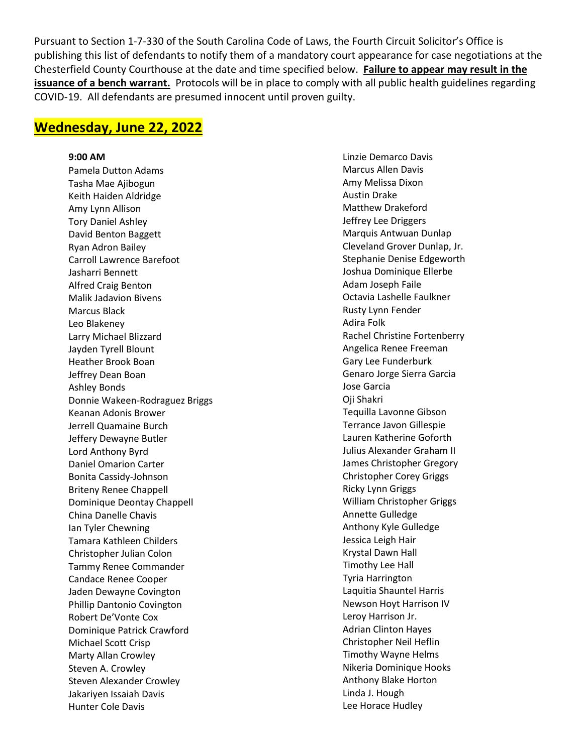Pursuant to Section 1-7-330 of the South Carolina Code of Laws, the Fourth Circuit Solicitor's Office is publishing this list of defendants to notify them of a mandatory court appearance for case negotiations at the Chesterfield County Courthouse at the date and time specified below. **Failure to appear may result in the issuance of a bench warrant.** Protocols will be in place to comply with all public health guidelines regarding COVID-19. All defendants are presumed innocent until proven guilty.

## **Wednesday, June 22, 2022**

## **9:00 AM**

Pamela Dutton Adams Tasha Mae Ajibogun Keith Haiden Aldridge Amy Lynn Allison Tory Daniel Ashley David Benton Baggett Ryan Adron Bailey Carroll Lawrence Barefoot Jasharri Bennett Alfred Craig Benton Malik Jadavion Bivens Marcus Black Leo Blakeney Larry Michael Blizzard Jayden Tyrell Blount Heather Brook Boan Jeffrey Dean Boan Ashley Bonds Donnie Wakeen-Rodraguez Briggs Keanan Adonis Brower Jerrell Quamaine Burch Jeffery Dewayne Butler Lord Anthony Byrd Daniel Omarion Carter Bonita Cassidy-Johnson Briteny Renee Chappell Dominique Deontay Chappell China Danelle Chavis Ian Tyler Chewning Tamara Kathleen Childers Christopher Julian Colon Tammy Renee Commander Candace Renee Cooper Jaden Dewayne Covington Phillip Dantonio Covington Robert De'Vonte Cox Dominique Patrick Crawford Michael Scott Crisp Marty Allan Crowley Steven A. Crowley Steven Alexander Crowley Jakariyen Issaiah Davis Hunter Cole Davis

Linzie Demarco Davis Marcus Allen Davis Amy Melissa Dixon Austin Drake Matthew Drakeford Jeffrey Lee Driggers Marquis Antwuan Dunlap Cleveland Grover Dunlap, Jr. Stephanie Denise Edgeworth Joshua Dominique Ellerbe Adam Joseph Faile Octavia Lashelle Faulkner Rusty Lynn Fender Adira Folk Rachel Christine Fortenberry Angelica Renee Freeman Gary Lee Funderburk Genaro Jorge Sierra Garcia Jose Garcia Oji Shakri Tequilla Lavonne Gibson Terrance Javon Gillespie Lauren Katherine Goforth Julius Alexander Graham II James Christopher Gregory Christopher Corey Griggs Ricky Lynn Griggs William Christopher Griggs Annette Gulledge Anthony Kyle Gulledge Jessica Leigh Hair Krystal Dawn Hall Timothy Lee Hall Tyria Harrington Laquitia Shauntel Harris Newson Hoyt Harrison IV Leroy Harrison Jr. Adrian Clinton Hayes Christopher Neil Heflin Timothy Wayne Helms Nikeria Dominique Hooks Anthony Blake Horton Linda J. Hough Lee Horace Hudley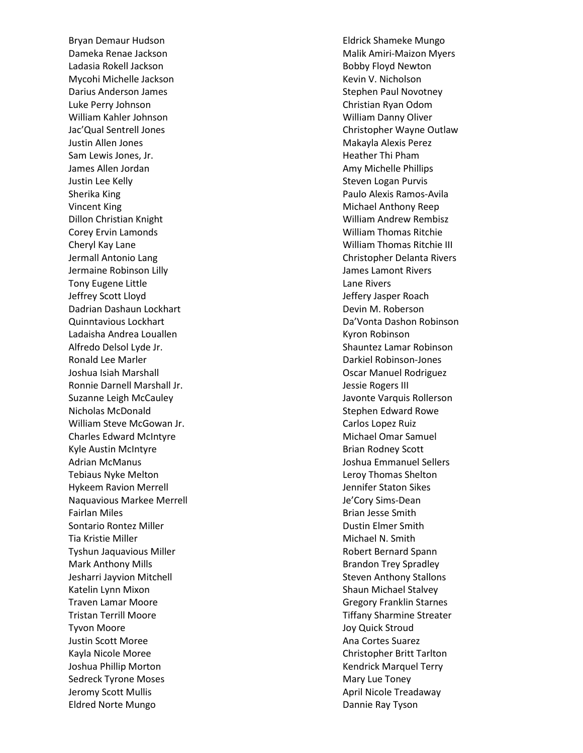Bryan Demaur Hudson Dameka Renae Jackson Ladasia Rokell Jackson Mycohi Michelle Jackson Darius Anderson James Luke Perry Johnson William Kahler Johnson Jac'Qual Sentrell Jones Justin Allen Jones Sam Lewis Jones, Jr. James Allen Jordan Justin Lee Kelly Sherika King Vincent King Dillon Christian Knight Corey Ervin Lamonds Cheryl Kay Lane Jermall Antonio Lang Jermaine Robinson Lilly Tony Eugene Little Jeffrey Scott Lloyd Dadrian Dashaun Lockhart Quinntavious Lockhart Ladaisha Andrea Louallen Alfredo Delsol Lyde Jr. Ronald Lee Marler Joshua Isiah Marshall Ronnie Darnell Marshall Jr. Suzanne Leigh McCauley Nicholas McDonald William Steve McGowan Jr. Charles Edward McIntyre Kyle Austin McIntyre Adrian McManus Tebiaus Nyke Melton Hykeem Ravion Merrell Naquavious Markee Merrell Fairlan Miles Sontario Rontez Miller Tia Kristie Miller Tyshun Jaquavious Miller Mark Anthony Mills Jesharri Jayvion Mitchell Katelin Lynn Mixon Traven Lamar Moore Tristan Terrill Moore Tyvon Moore Justin Scott Moree Kayla Nicole Moree Joshua Phillip Morton Sedreck Tyrone Moses Jeromy Scott Mullis Eldred Norte Mungo

Eldrick Shameke Mungo Malik Amiri-Maizon Myers Bobby Floyd Newton Kevin V. Nicholson Stephen Paul Novotney Christian Ryan Odom William Danny Oliver Christopher Wayne Outlaw Makayla Alexis Perez Heather Thi Pham Amy Michelle Phillips Steven Logan Purvis Paulo Alexis Ramos-Avila Michael Anthony Reep William Andrew Rembisz William Thomas Ritchie William Thomas Ritchie III Christopher Delanta Rivers James Lamont Rivers Lane Rivers Jeffery Jasper Roach Devin M. Roberson Da'Vonta Dashon Robinson Kyron Robinson Shauntez Lamar Robinson Darkiel Robinson-Jones Oscar Manuel Rodriguez Jessie Rogers III Javonte Varquis Rollerson Stephen Edward Rowe Carlos Lopez Ruiz Michael Omar Samuel Brian Rodney Scott Joshua Emmanuel Sellers Leroy Thomas Shelton Jennifer Staton Sikes Je'Cory Sims-Dean Brian Jesse Smith Dustin Elmer Smith Michael N. Smith Robert Bernard Spann Brandon Trey Spradley Steven Anthony Stallons Shaun Michael Stalvey Gregory Franklin Starnes Tiffany Sharmine Streater Joy Quick Stroud Ana Cortes Suarez Christopher Britt Tarlton Kendrick Marquel Terry Mary Lue Toney April Nicole Treadaway Dannie Ray Tyson